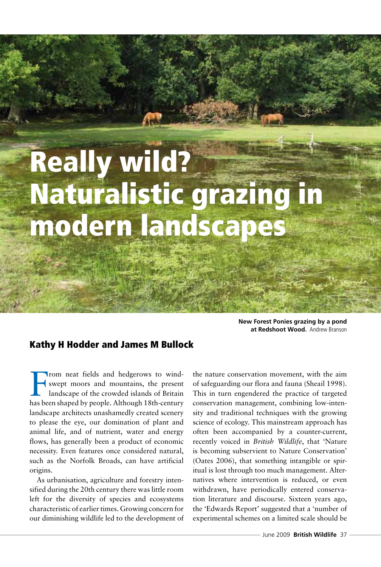**New Forest Ponies grazing by a pond at Redshoot Wood.** Andrew Branson

## Kathy H Hodder and James M Bullock

From neat fields and hedgerows to windswept moors and mountains, the present landscape of the crowded islands of Britain has been shaped by people. Although 18th-century landscape architects unashamedly created scenery to please the eye, our domination of plant and animal life, and of nutrient, water and energy flows, has generally been a product of economic necessity. Even features once considered natural, such as the Norfolk Broads, can have artificial origins.

As urbanisation, agriculture and forestry intensified during the 20th century there was little room left for the diversity of species and ecosystems characteristic of earlier times. Growing concern for our diminishing wildlife led to the development of

the nature conservation movement, with the aim of safeguarding our flora and fauna (Sheail 1998). This in turn engendered the practice of targeted conservation management, combining low-intensity and traditional techniques with the growing science of ecology. This mainstream approach has often been accompanied by a counter-current, recently voiced in *British Wildlife*, that 'Nature is becoming subservient to Nature Conservation' (Oates 2006), that something intangible or spiritual is lost through too much management. Alternatives where intervention is reduced, or even withdrawn, have periodically entered conservation literature and discourse. Sixteen years ago, the 'Edwards Report' suggested that a 'number of experimental schemes on a limited scale should be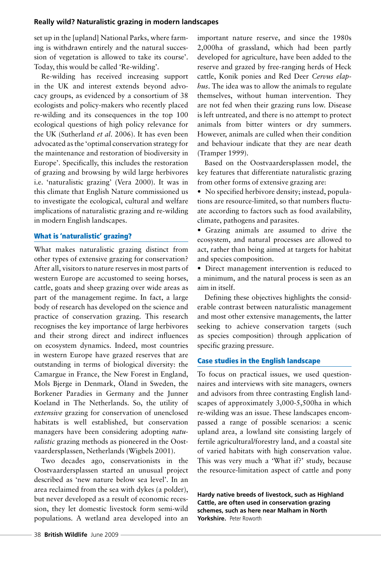set up in the [upland] National Parks, where farming is withdrawn entirely and the natural succession of vegetation is allowed to take its course'. Today, this would be called 'Re-wilding'.

Re-wilding has received increasing support in the UK and interest extends beyond advocacy groups, as evidenced by a consortium of 38 ecologists and policy-makers who recently placed re-wilding and its consequences in the top 100 ecological questions of high policy relevance for the UK (Sutherland *et al*. 2006). It has even been advocated as the 'optimal conservation strategy for the maintenance and restoration of biodiversity in Europe'. Specifically, this includes the restoration of grazing and browsing by wild large herbivores i.e. 'naturalistic grazing' (Vera 2000). It was in this climate that English Nature commissioned us to investigate the ecological, cultural and welfare implications of naturalistic grazing and re-wilding in modern English landscapes.

## What is 'naturalistic' grazing?

What makes naturalistic grazing distinct from other types of extensive grazing for conservation? After all, visitors to nature reserves in most parts of western Europe are accustomed to seeing horses, cattle, goats and sheep grazing over wide areas as part of the management regime. In fact, a large body of research has developed on the science and practice of conservation grazing. This research recognises the key importance of large herbivores and their strong direct and indirect influences on ecosystem dynamics. Indeed, most countries in western Europe have grazed reserves that are outstanding in terms of biological diversity: the Camargue in France, the New Forest in England, Mols Bjerge in Denmark, Öland in Sweden, the Borkener Paradies in Germany and the Junner Koeland in The Netherlands. So, the utility of *extensive* grazing for conservation of unenclosed habitats is well established, but conservation managers have been considering adopting *naturalistic* grazing methods as pioneered in the Oostvaardersplassen, Netherlands (Wigbels 2001).

Two decades ago, conservationists in the Oostvaardersplassen started an unusual project described as 'new nature below sea level'. In an area reclaimed from the sea with dykes (a polder), but never developed as a result of economic recession, they let domestic livestock form semi-wild populations. A wetland area developed into an important nature reserve, and since the 1980s 2,000ha of grassland, which had been partly developed for agriculture, have been added to the reserve and grazed by free-ranging herds of Heck cattle, Konik ponies and Red Deer *Cervus elaphus*. The idea was to allow the animals to regulate themselves, without human intervention. They are not fed when their grazing runs low. Disease is left untreated, and there is no attempt to protect animals from bitter winters or dry summers. However, animals are culled when their condition and behaviour indicate that they are near death (Tramper 1999).

Based on the Oostvaardersplassen model, the key features that differentiate naturalistic grazing from other forms of extensive grazing are:

• No specified herbivore density; instead, populations are resource-limited, so that numbers fluctuate according to factors such as food availability, climate, pathogens and parasites.

• Grazing animals are assumed to drive the ecosystem, and natural processes are allowed to act, rather than being aimed at targets for habitat and species composition.

• Direct management intervention is reduced to a minimum, and the natural process is seen as an aim in itself.

Defining these objectives highlights the considerable contrast between naturalistic management and most other extensive managements, the latter seeking to achieve conservation targets (such as species composition) through application of specific grazing pressure.

## Case studies in the English landscape

To focus on practical issues, we used questionnaires and interviews with site managers, owners and advisors from three contrasting English landscapes of approximately 3,000-5,500ha in which re-wilding was an issue. These landscapes encompassed a range of possible scenarios: a scenic upland area, a lowland site consisting largely of fertile agricultural/forestry land, and a coastal site of varied habitats with high conservation value. This was very much a 'What if?' study, because the resource-limitation aspect of cattle and pony

**Hardy native breeds of livestock, such as Highland Cattle, are often used in conservation grazing schemes, such as here near Malham in North Yorkshire.** Peter Roworth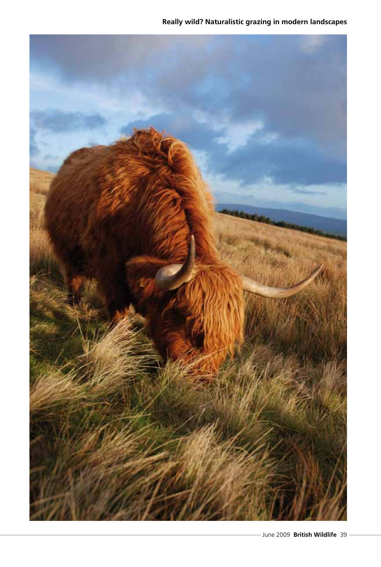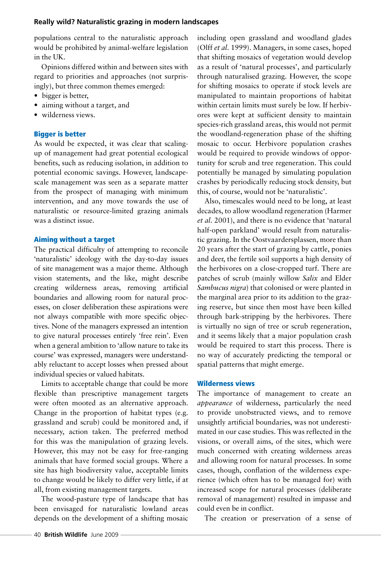populations central to the naturalistic approach would be prohibited by animal-welfare legislation in the UK.

Opinions differed within and between sites with regard to priorities and approaches (not surprisingly), but three common themes emerged:

- bigger is better,
- aiming without a target, and
- wilderness views.

## Bigger is better

As would be expected, it was clear that scalingup of management had great potential ecological benefits, such as reducing isolation, in addition to potential economic savings. However, landscapescale management was seen as a separate matter from the prospect of managing with minimum intervention, and any move towards the use of naturalistic or resource-limited grazing animals was a distinct issue.

## Aiming without a target

The practical difficulty of attempting to reconcile 'naturalistic' ideology with the day-to-day issues of site management was a major theme. Although vision statements, and the like, might describe creating wilderness areas, removing artificial boundaries and allowing room for natural processes, on closer deliberation these aspirations were not always compatible with more specific objectives. None of the managers expressed an intention to give natural processes entirely 'free rein'. Even when a general ambition to 'allow nature to take its course' was expressed, managers were understandably reluctant to accept losses when pressed about individual species or valued habitats.

Limits to acceptable change that could be more flexible than prescriptive management targets were often mooted as an alternative approach. Change in the proportion of habitat types (e.g. grassland and scrub) could be monitored and, if necessary, action taken. The preferred method for this was the manipulation of grazing levels. However, this may not be easy for free-ranging animals that have formed social groups. Where a site has high biodiversity value, acceptable limits to change would be likely to differ very little, if at all, from existing management targets.

The wood-pasture type of landscape that has been envisaged for naturalistic lowland areas depends on the development of a shifting mosaic including open grassland and woodland glades (Olff *et al*. 1999). Managers, in some cases, hoped that shifting mosaics of vegetation would develop as a result of 'natural processes', and particularly through naturalised grazing. However, the scope for shifting mosaics to operate if stock levels are manipulated to maintain proportions of habitat within certain limits must surely be low. If herbivores were kept at sufficient density to maintain species-rich grassland areas, this would not permit the woodland-regeneration phase of the shifting mosaic to occur. Herbivore population crashes would be required to provide windows of opportunity for scrub and tree regeneration. This could potentially be managed by simulating population crashes by periodically reducing stock density, but this, of course, would not be 'naturalistic'.

Also, timescales would need to be long, at least decades, to allow woodland regeneration (Harmer *et al*. 2001), and there is no evidence that 'natural half-open parkland' would result from naturalistic grazing. In the Oostvaardersplassen, more than 20 years after the start of grazing by cattle, ponies and deer, the fertile soil supports a high density of the herbivores on a close-cropped turf. There are patches of scrub (mainly willow *Salix* and Elder *Sambucus nigra*) that colonised or were planted in the marginal area prior to its addition to the grazing reserve, but since then most have been killed through bark-stripping by the herbivores. There is virtually no sign of tree or scrub regeneration, and it seems likely that a major population crash would be required to start this process. There is no way of accurately predicting the temporal or spatial patterns that might emerge.

## Wilderness views

The importance of management to create an *appearance* of wilderness, particularly the need to provide unobstructed views, and to remove unsightly artificial boundaries, was not underestimated in our case studies. This was reflected in the visions, or overall aims, of the sites, which were much concerned with creating wilderness areas and allowing room for natural processes. In some cases, though, conflation of the wilderness experience (which often has to be managed for) with increased scope for natural processes (deliberate removal of management) resulted in impasse and could even be in conflict.

The creation or preservation of a sense of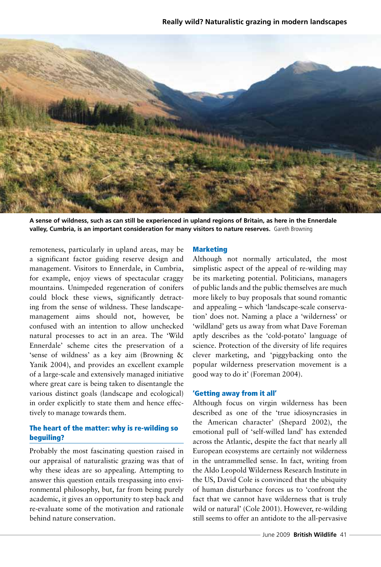

**A sense of wildness, such as can still be experienced in upland regions of Britain, as here in the Ennerdale valley, Cumbria, is an important consideration for many visitors to nature reserves.** Gareth Browning

remoteness, particularly in upland areas, may be a significant factor guiding reserve design and management. Visitors to Ennerdale, in Cumbria, for example, enjoy views of spectacular craggy mountains. Unimpeded regeneration of conifers could block these views, significantly detracting from the sense of wildness. These landscapemanagement aims should not, however, be confused with an intention to allow unchecked natural processes to act in an area. The 'Wild Ennerdale' scheme cites the preservation of a 'sense of wildness' as a key aim (Browning & Yanik 2004), and provides an excellent example of a large-scale and extensively managed initiative where great care is being taken to disentangle the various distinct goals (landscape and ecological) in order explicitly to state them and hence effectively to manage towards them.

## The heart of the matter: why is re-wilding so beguiling?

Probably the most fascinating question raised in our appraisal of naturalistic grazing was that of why these ideas are so appealing. Attempting to answer this question entails trespassing into environmental philosophy, but, far from being purely academic, it gives an opportunity to step back and re-evaluate some of the motivation and rationale behind nature conservation.

#### Marketing

Although not normally articulated, the most simplistic aspect of the appeal of re-wilding may be its marketing potential. Politicians, managers of public lands and the public themselves are much more likely to buy proposals that sound romantic and appealing – which 'landscape-scale conservation' does not. Naming a place a 'wilderness' or 'wildland' gets us away from what Dave Foreman aptly describes as the 'cold-potato' language of science. Protection of the diversity of life requires clever marketing, and 'piggybacking onto the popular wilderness preservation movement is a good way to do it' (Foreman 2004).

### 'Getting away from it all'

Although focus on virgin wilderness has been described as one of the 'true idiosyncrasies in the American character' (Shepard 2002), the emotional pull of 'self-willed land' has extended across the Atlantic, despite the fact that nearly all European ecosystems are certainly not wilderness in the untrammelled sense. In fact, writing from the Aldo Leopold Wilderness Research Institute in the US, David Cole is convinced that the ubiquity of human disturbance forces us to 'confront the fact that we cannot have wilderness that is truly wild or natural' (Cole 2001). However, re-wilding still seems to offer an antidote to the all-pervasive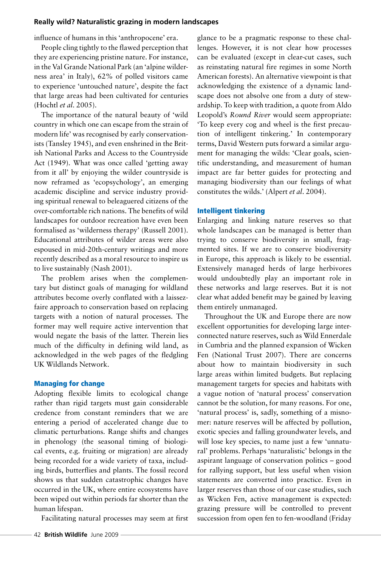influence of humans in this 'anthropocene' era.

People cling tightly to the flawed perception that they are experiencing pristine nature. For instance, in the Val Grande National Park (an 'alpine wilderness area' in Italy), 62% of polled visitors came to experience 'untouched nature', despite the fact that large areas had been cultivated for centuries (Hochtl *et al*. 2005).

The importance of the natural beauty of 'wild country in which one can escape from the strain of modern life' was recognised by early conservationists (Tansley 1945), and even enshrined in the British National Parks and Access to the Countryside Act (1949). What was once called 'getting away from it all' by enjoying the wilder countryside is now reframed as 'ecopsychology', an emerging academic discipline and service industry providing spiritual renewal to beleaguered citizens of the over-comfortable rich nations. The benefits of wild landscapes for outdoor recreation have even been formalised as 'wilderness therapy' (Russell 2001). Educational attributes of wilder areas were also espoused in mid-20th-century writings and more recently described as a moral resource to inspire us to live sustainably (Nash 2001).

The problem arises when the complementary but distinct goals of managing for wildland attributes become overly conflated with a laissezfaire approach to conservation based on replacing targets with a notion of natural processes. The former may well require active intervention that would negate the basis of the latter. Therein lies much of the difficulty in defining wild land, as acknowledged in the web pages of the fledgling UK Wildlands Network.

## Managing for change

Adopting flexible limits to ecological change rather than rigid targets must gain considerable credence from constant reminders that we are entering a period of accelerated change due to climatic perturbations. Range shifts and changes in phenology (the seasonal timing of biological events, e.g. fruiting or migration) are already being recorded for a wide variety of taxa, including birds, butterflies and plants. The fossil record shows us that sudden catastrophic changes have occurred in the UK, where entire ecosystems have been wiped out within periods far shorter than the human lifespan.

Facilitating natural processes may seem at first

glance to be a pragmatic response to these challenges. However, it is not clear how processes can be evaluated (except in clear-cut cases, such as reinstating natural fire regimes in some North American forests). An alternative viewpoint is that acknowledging the existence of a dynamic landscape does not absolve one from a duty of stewardship. To keep with tradition, a quote from Aldo Leopold's *Round River* would seem appropriate: 'To keep every cog and wheel is the first precaution of intelligent tinkering.' In contemporary terms, David Western puts forward a similar argument for managing the wilds: 'Clear goals, scientific understanding, and measurement of human impact are far better guides for protecting and managing biodiversity than our feelings of what constitutes the wilds.' (Alpert *et al*. 2004).

### Intelligent tinkering

Enlarging and linking nature reserves so that whole landscapes can be managed is better than trying to conserve biodiversity in small, fragmented sites. If we are to conserve biodiversity in Europe, this approach is likely to be essential. Extensively managed herds of large herbivores would undoubtedly play an important role in these networks and large reserves. But it is not clear what added benefit may be gained by leaving them entirely unmanaged.

Throughout the UK and Europe there are now excellent opportunities for developing large interconnected nature reserves, such as Wild Ennerdale in Cumbria and the planned expansion of Wicken Fen (National Trust 2007). There are concerns about how to maintain biodiversity in such large areas within limited budgets. But replacing management targets for species and habitats with a vague notion of 'natural process' conservation cannot be the solution, for many reasons. For one, 'natural process' is, sadly, something of a misnomer: nature reserves will be affected by pollution, exotic species and falling groundwater levels, and will lose key species, to name just a few 'unnatural' problems. Perhaps 'naturalistic' belongs in the aspirant language of conservation politics – good for rallying support, but less useful when vision statements are converted into practice. Even in larger reserves than those of our case studies, such as Wicken Fen, active management is expected: grazing pressure will be controlled to prevent succession from open fen to fen-woodland (Friday